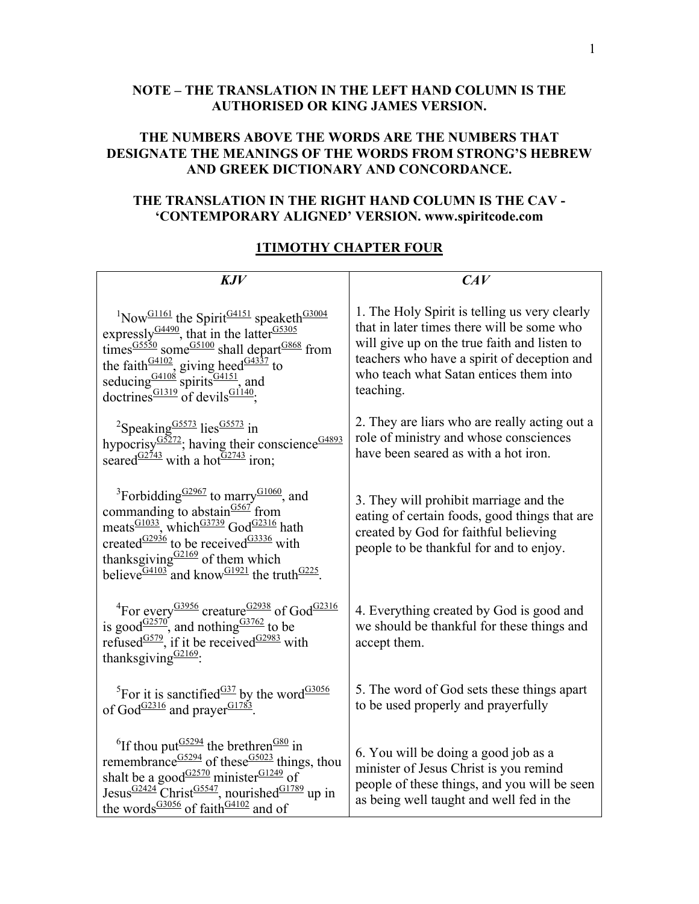## **NOTE – THE TRANSLATION IN THE LEFT HAND COLUMN IS THE AUTHORISED OR KING JAMES VERSION.**

## **THE NUMBERS ABOVE THE WORDS ARE THE NUMBERS THAT DESIGNATE THE MEANINGS OF THE WORDS FROM STRONG'S HEBREW AND GREEK DICTIONARY AND CONCORDANCE.**

## **THE TRANSLATION IN THE RIGHT HAND COLUMN IS THE CAV - 'CONTEMPORARY ALIGNED' VERSION. www.spiritcode.com**

## **1TIMOTHY CHAPTER FOUR**

| KJV                                                                                                                                                                                                                                                                                                                                                                                                                                                     | CAV                                                                                                                                                                                                                                               |
|---------------------------------------------------------------------------------------------------------------------------------------------------------------------------------------------------------------------------------------------------------------------------------------------------------------------------------------------------------------------------------------------------------------------------------------------------------|---------------------------------------------------------------------------------------------------------------------------------------------------------------------------------------------------------------------------------------------------|
| <sup>1</sup> Now <sup>G1161</sup> the Spirit <sup>G4151</sup> speaketh <sup>G3004</sup><br>expressly <sup>G4490</sup> , that in the latter $\frac{GS305}{S}$<br>times $\frac{GS550}{S}$ some $\frac{GS100}{S}$ shall depart $\frac{GS68}{S}$ from<br>the faith $\frac{G4102}{3}$ giving heed $\frac{G4337}{3}$ to seducing $\frac{G4108}{3}$ spirits $\frac{G4151}{3}$ and<br>doctrines <sup>G1319</sup> of devils <sup>G1140</sup> ;                   | 1. The Holy Spirit is telling us very clearly<br>that in later times there will be some who<br>will give up on the true faith and listen to<br>teachers who have a spirit of deception and<br>who teach what Satan entices them into<br>teaching. |
| <sup>2</sup> Speaking <sup>G5573</sup> lies <sup>G5573</sup> in<br>hypocrisy <sup>G5272</sup> ; having their conscience <sup>G4893</sup><br>seared <sup>G2743</sup> with a hot <sup>G2743</sup> iron;                                                                                                                                                                                                                                                   | 2. They are liars who are really acting out a<br>role of ministry and whose consciences<br>have been seared as with a hot iron.                                                                                                                   |
| <sup>3</sup> Forbidding $\frac{G2967}{G}$ to marry $\frac{G1060}{G}$ , and<br>commanding to abstain $\frac{G567}{F}$ from<br>meats $\frac{G1033}{G}$ , which $\frac{G3739}{G}$ God <sup><math>\frac{G2316}{G}</math></sup> hath<br>created $\frac{G2936}{G}$ to be received $\frac{G3336}{G}$ with<br>thanksgiving $\frac{G2169}{G4103}$ of them which<br>believe $\frac{G4103}{G4103}$ and know $\frac{G1921}{G4101}$ the truth $\frac{G225}{G4101}$ . | 3. They will prohibit marriage and the<br>eating of certain foods, good things that are<br>created by God for faithful believing<br>people to be thankful for and to enjoy.                                                                       |
| <sup>4</sup> For every <sup>G3956</sup> creature <sup>G2938</sup> of God <sup>G2316</sup><br>is good <sup>G2570</sup> , and nothing <sup>G3762</sup> to be<br>refused <sup>G579</sup> , if it be received <sup>G2983</sup> with<br>thanksgiving <sup>G2169</sup> .                                                                                                                                                                                      | 4. Everything created by God is good and<br>we should be thankful for these things and<br>accept them.                                                                                                                                            |
| <sup>5</sup> For it is sanctified <sup><math>\frac{G37}{2}</math></sup> by the word <sup><math>\frac{G3056}{2}</math></sup><br>of God <sup>G2316</sup> and prayer <sup>G1783</sup> .                                                                                                                                                                                                                                                                    | 5. The word of God sets these things apart<br>to be used properly and prayerfully                                                                                                                                                                 |
| ${}^{6}$ If thou put $\frac{G5294}{G}$ the brethren $\frac{G80}{G}$ in<br>remembrance $\frac{GS294}{}$ of these $\frac{GS023}{}$ things, thou<br>shalt be a good <sup><math>G2570</math></sup> minister $G1249$ of<br>Jesus $\frac{G2424}{C}$ Christ $\frac{G5547}{C}$ , nourished $\frac{G1789}{C}$ up in<br>the words <sup>G3056</sup> of faith <sup>G4102</sup> and of                                                                               | 6. You will be doing a good job as a<br>minister of Jesus Christ is you remind<br>people of these things, and you will be seen<br>as being well taught and well fed in the                                                                        |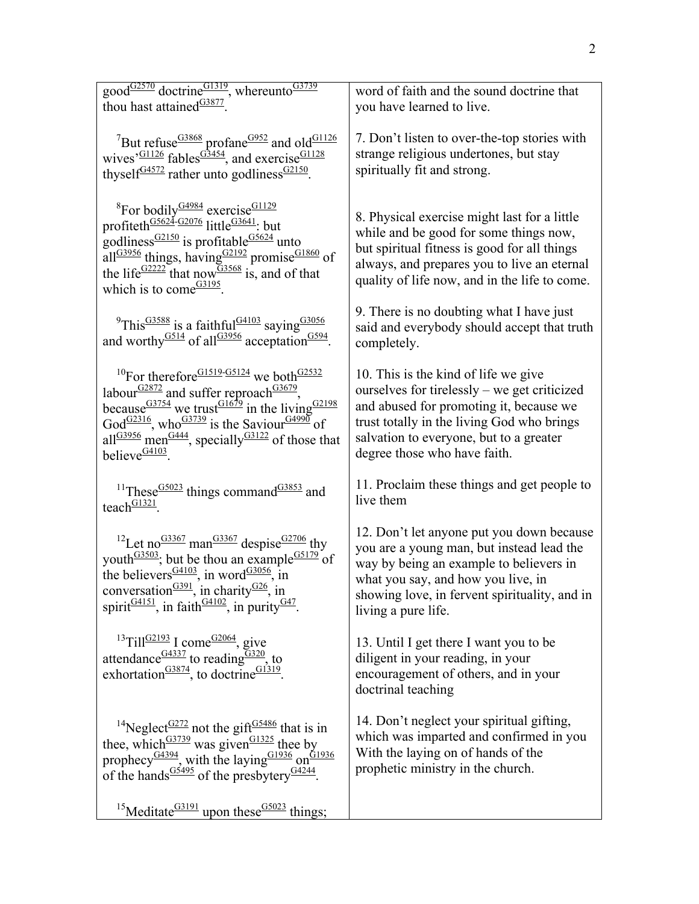| good $\frac{G2570}{G28277}$ , whereunto $\frac{G3739}{G28277}$ , whereunto $\frac{G3739}{G2877}$                                                                                                                                                                                                                                                                                                                                                              | word of faith and the sound doctrine that                                                                                                                                                                                                                |
|---------------------------------------------------------------------------------------------------------------------------------------------------------------------------------------------------------------------------------------------------------------------------------------------------------------------------------------------------------------------------------------------------------------------------------------------------------------|----------------------------------------------------------------------------------------------------------------------------------------------------------------------------------------------------------------------------------------------------------|
| thou hast attained <sup>G3877</sup> .                                                                                                                                                                                                                                                                                                                                                                                                                         | you have learned to live.                                                                                                                                                                                                                                |
| <sup>7</sup> But refuse <sup>G3868</sup> profane <sup>G952</sup> and old <sup>G1126</sup><br>wives $\frac{101126}{61126}$ fables $\frac{63454}{61126}$ , and exercise $\frac{61128}{61126}$<br>thyself $\frac{G4572}{2}$ rather unto godliness $\frac{G2150}{2}$ .                                                                                                                                                                                            | 7. Don't listen to over-the-top stories with<br>strange religious undertones, but stay<br>spiritually fit and strong.                                                                                                                                    |
| <sup>8</sup> For bodily $\frac{G4984}{G2225}$ exercise $\frac{G1129}{G11}$<br>profiteth $\frac{G5624}{G262076}$ little $\frac{G3641}{G5624}$ ; but<br>godliness $\frac{G2150}{G}$ is profitable $\frac{G5624}{G}$ unto<br>all <sup>G3956</sup> things, having $\frac{G2192}{G}$ promise $\frac{G1860}{G}$ of<br>the life <sup>G2222</sup> that now $\frac{G3568}{15}$ , and of that<br>which is to come $\frac{G3195}{2}$ .                                   | 8. Physical exercise might last for a little<br>while and be good for some things now,<br>but spiritual fitness is good for all things<br>always, and prepares you to live an eternal<br>quality of life now, and in the life to come.                   |
| <sup>9</sup> This <sup>G3588</sup> is a faithful <sup>G4103</sup> saying <sup>G3056</sup><br>and worthy <sup>G514</sup> of all <sup>G3956</sup> acceptation <sup>G594</sup> .                                                                                                                                                                                                                                                                                 | 9. There is no doubting what I have just<br>said and everybody should accept that truth<br>completely.                                                                                                                                                   |
| <sup>10</sup> For therefore <sup>G1519-G5124</sup> we both <sup>G2532</sup><br>labour $\frac{G2872}{G}$ and suffer reproach $\frac{G3679}{G}$ ,<br>because $\frac{G3754}{9}$ we trust $\frac{G1679}{9}$ in the living $\frac{G2198}{9}$<br>God <sup>G2316</sup> , who <sup>G3739</sup> is the Saviour $\frac{G4990}{G}$ of<br>all <sup>G3956</sup> men <sup>G444</sup> , specially <sup>G3122</sup> of those that<br>believe $\frac{G4103}{2}$ .              | 10. This is the kind of life we give<br>ourselves for tirelessly – we get criticized<br>and abused for promoting it, because we<br>trust totally in the living God who brings<br>salvation to everyone, but to a greater<br>degree those who have faith. |
| <sup>11</sup> These <sup>G5023</sup> things command <sup>G3853</sup> and<br>teach $\frac{G1321}{2}$                                                                                                                                                                                                                                                                                                                                                           | 11. Proclaim these things and get people to<br>live them                                                                                                                                                                                                 |
| <sup>12</sup> Let no <sup>G3367</sup> man <sup>G3367</sup> despise <sup>G2706</sup> thy<br>youth <sup><math>\frac{G3503}{2}</math></sup> ; but be thou an example $\frac{G5179}{2}$ of<br>the believers <sup><math>\frac{G4103}{2}</math></sup> , in word <sup><math>\frac{G3056}{2}</math></sup> , in<br>conversation $\frac{G391}{G}$ , in charity $\frac{G26}{G}$ , in<br>spirit <sup>G4151</sup> , in faith <sup>G4102</sup> , in purity <sup>G47</sup> . | 12. Don't let anyone put you down because<br>you are a young man, but instead lead the<br>way by being an example to believers in<br>what you say, and how you live, in<br>showing love, in fervent spirituality, and in<br>living a pure life.          |
| $13$ Till <sup>G2193</sup> I come <sup>G2064</sup> , give<br>attendance $\frac{G4337}{G}$ to reading $\frac{G320}{G}$ , to exhortation $\frac{G3874}{G}$ , to doctrine $\frac{G1319}{G}$ .                                                                                                                                                                                                                                                                    | 13. Until I get there I want you to be<br>diligent in your reading, in your<br>encouragement of others, and in your<br>doctrinal teaching                                                                                                                |
| <sup>14</sup> Neglect <sup>G272</sup> not the gift <sup>G5486</sup> that is in<br>thee, which $63739$ was given $61325$ thee by<br>prophecy <sup>G4394</sup> , with the laying $\frac{G1936}{G1936}$ on $\frac{G1936}{G1936}$<br>of the hands <sup>G5495</sup> of the presbytery <sup>G4244</sup> .                                                                                                                                                           | 14. Don't neglect your spiritual gifting,<br>which was imparted and confirmed in you<br>With the laying on of hands of the<br>prophetic ministry in the church.                                                                                          |
| <sup>15</sup> Meditate <sup>G3191</sup> upon these <sup>G5023</sup> things;                                                                                                                                                                                                                                                                                                                                                                                   |                                                                                                                                                                                                                                                          |